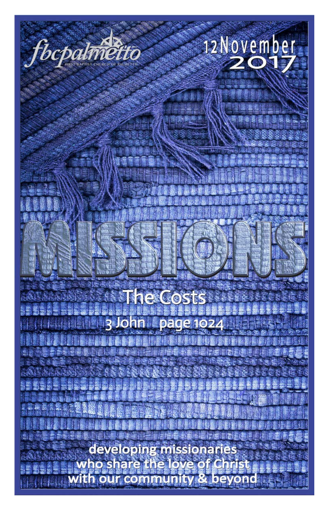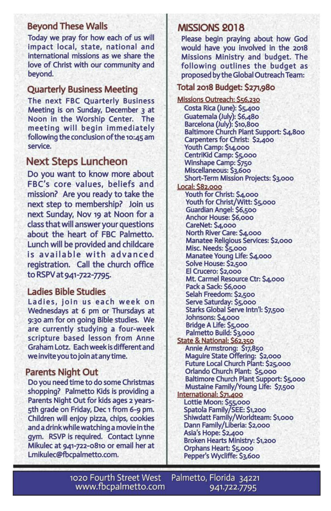## **Beyond These Walls**

Today we pray for how each of us will impact local, state, national and international missions as we share the love of Christ with our community and beyond.

#### **Quarterly Business Meeting**

The next FBC Quarterly Business Meeting is on Sunday, December 3 at Noon in the Worship Center. The meeting will begin immediately following the conclusion of the 10:45 am service.

## **Next Steps Luncheon**

Do you want to know more about FBC's core values, beliefs and mission? Are you ready to take the next step to membership? Join us next Sunday, Nov 19 at Noon for a class that will answer your questions about the heart of FBC Palmetto. Lunch will be provided and childcare is available with advanced registration. Call the church office to RSPV at 941-722-7795.

#### **Ladies Bible Studies**

Ladies, join us each week on Wednesdays at 6 pm or Thursdays at 9:30 am for on going Bible studies. We are currently studying a four-week scripture based lesson from Anne Graham Lotz. Each week is different and we invite you to join at any time.

#### **Parents Night Out**

Do you need time to do some Christmas shopping? Palmetto Kids is providing a Parents Night Out for kids ages 2 years-5th grade on Friday, Dec 1 from 6-9 pm. Children will enjoy pizza, chips, cookies and a drink while watching a movie in the gym. RSVP is required. Contact Lynne Mikulec at 941-722-0810 or email her at Lmikulec@fbcpalmetto.com.

## **MISSIONS 2018**

Please begin praying about how God would have you involved in the 2018 Missions Ministry and budget. The following outlines the budget as proposed by the Global Outreach Team:

### Total 2018 Budget: \$271,980

Missions Outreach: \$56,230 Costa Rica (June): \$5,400 Guatemala (July): \$6,480 Barcelona (July): \$10,800 Baltimore Church Plant Support: \$4,800 Carpenters for Christ: \$2,400 Youth Camp: \$14,000 CentriKid Camp: \$5,000 Winshape Camp: \$750 Miscellaneous: \$3,600 Short-Term Mission Projects: \$3,000 **Local: \$82,000** Youth for Christ: \$4,000 Youth for Christ/Witt: \$5,000 Guardian Angel: \$6,500 Anchor House: \$6,000 CareNet: \$4,000 North River Care: \$4,000 Manatee Religious Services: \$2,000 Misc. Needs: \$5,000 Manatee Young Life: \$4,000 Solve House: \$2,500 El Crucero: \$2,000 Mt. Carmel Resource Ctr: \$4,000 Pack a Sack: \$6,000 Selah Freedom: \$2,500 Serve Saturday: \$5,000 Starks Global Serve Intn'l: \$7,500 Johnsons: \$4,000 Bridge A Life: \$5,000 Palmetto Build: \$3,000 State & National: \$62,350 Annie Armstrong: \$17,850 Maguire State Offering: \$2,000 Future Local Church Plant: \$25,000 Orlando Church Plant: \$5,000 Baltimore Church Plant Support: \$5,000 Mustaine Family/Young Life: \$7,500 International: \$71,400 Lottie Moon: \$55,000 Spatola Family/SEE: \$1,200 Shiwdatt Family/Worldteam: \$1,000 Dann Family/Liberia: \$2,000 Asia's Hope: \$2,400 Broken Hearts Ministry: \$1,200 Orphans Heart: \$5,000 Pepper's Wycliffe: \$3,600

Palmetto, Florida 34221 1020 Fourth Street West www.fbcpalmetto.com 941.722.7795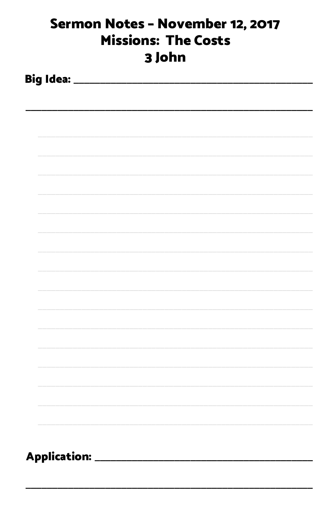| Sermon Notes - November 12, 2017<br><b>Missions: The Costs</b><br>3 John |  |  |  |  |  |
|--------------------------------------------------------------------------|--|--|--|--|--|
|                                                                          |  |  |  |  |  |
|                                                                          |  |  |  |  |  |
|                                                                          |  |  |  |  |  |
|                                                                          |  |  |  |  |  |
|                                                                          |  |  |  |  |  |
|                                                                          |  |  |  |  |  |
|                                                                          |  |  |  |  |  |
|                                                                          |  |  |  |  |  |
|                                                                          |  |  |  |  |  |
|                                                                          |  |  |  |  |  |
|                                                                          |  |  |  |  |  |
|                                                                          |  |  |  |  |  |
|                                                                          |  |  |  |  |  |
|                                                                          |  |  |  |  |  |
|                                                                          |  |  |  |  |  |
|                                                                          |  |  |  |  |  |
| Application: ___________________                                         |  |  |  |  |  |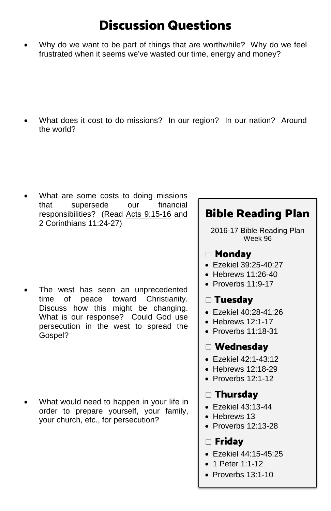# Discussion Questions

• Why do we want to be part of things that are worthwhile? Why do we feel frustrated when it seems we've wasted our time, energy and money?

What does it cost to do missions? In our region? In our nation? Around the world?

What are some costs to doing missions that supersede our financial responsibilities? (Read [Acts 9:15-16](https://www.biblegateway.com/passage/?search=Acts+9%3A15-16+&version=ESV) and [2 Corinthians 11:24-27\)](https://www.biblegateway.com/passage/?search=2+Corinthians+11%3A24-27&version=ESV)

The west has seen an unprecedented time of peace toward Christianity. Discuss how this might be changing. What is our response? Could God use persecution in the west to spread the Gospel?

• What would need to happen in your life in order to prepare yourself, your family, your church, etc., for persecution?

# Bible Reading Plan

2016-17 Bible Reading Plan Week 96

## Monday

- [Ezekiel 39:25-40:27](https://www.biblegateway.com/passage/?search=ezekiel+39%3A25-40%3A27&version=ESV)
- $\bullet$  [Hebrews 11:26-40](https://www.biblegateway.com/passage/?search=hebrews+11%3A26-40&version=ESV)
- [Proverbs 11:9-17](https://www.biblegateway.com/passage/?search=proverbs+11%3A9-17&version=ESV)

## Tuesday

- [Ezekiel 40:28-41:26](https://www.biblegateway.com/passage/?search=ezekiel+40%3A28-41%3A26&version=ESV)
- $\bullet$  [Hebrews 12:1-17](https://www.biblegateway.com/passage/?search=hebrews+12%3A1-17&version=ESV)
- [Proverbs 11:18-31](https://www.biblegateway.com/passage/?search=proverbs+11%3A18-31&version=ESV)

## Wednesday

- [Ezekiel 42:1-43:12](https://www.biblegateway.com/passage/?search=ezekiel+42%3A1-43%3A12&version=ESV)
- [Hebrews 12:18-29](https://www.biblegateway.com/passage/?search=hebrews+12%3A18-29&version=ESV)
- Proverbs 12:1-12

## Thursday

- [Ezekiel 43:13-44](https://www.biblegateway.com/passage/?search=ezekiel+43%3A13-44&version=ESV)
- [Hebrews 13](https://www.biblegateway.com/passage/?search=hebrews+13&version=ESV)
- [Proverbs 12:13-28](https://www.biblegateway.com/passage/?search=proverbs+12%3A13-28&version=ESV)

## $\Box$  Fridav

- [Ezekiel 44:15-45:25](https://www.biblegateway.com/passage/?search=ezekiel+44%3A15-45%3A25&version=ESV)
- [1 Peter 1:1-12](https://www.biblegateway.com/passage/?search=1+peter+1%3A1-12&version=ESV)
- Proverbs 13:1-10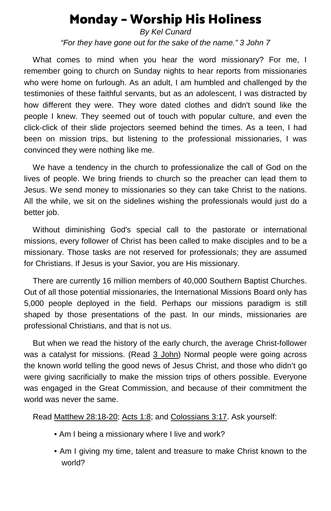# Monday – Worship His Holiness

*By Kel Cunard "For they have gone out for the sake of the name." 3 John 7*

 What comes to mind when you hear the word missionary? For me, I remember going to church on Sunday nights to hear reports from missionaries who were home on furlough. As an adult, I am humbled and challenged by the testimonies of these faithful servants, but as an adolescent, I was distracted by how different they were. They wore dated clothes and didn't sound like the people I knew. They seemed out of touch with popular culture, and even the click-click of their slide projectors seemed behind the times. As a teen, I had been on mission trips, but listening to the professional missionaries, I was convinced they were nothing like me.

 We have a tendency in the church to professionalize the call of God on the lives of people. We bring friends to church so the preacher can lead them to Jesus. We send money to missionaries so they can take Christ to the nations. All the while, we sit on the sidelines wishing the professionals would just do a better job.

 Without diminishing God's special call to the pastorate or international missions, every follower of Christ has been called to make disciples and to be a missionary. Those tasks are not reserved for professionals; they are assumed for Christians. If Jesus is your Savior, you are His missionary.

 There are currently 16 million members of 40,000 Southern Baptist Churches. Out of all those potential missionaries, the International Missions Board only has 5,000 people deployed in the field. Perhaps our missions paradigm is still shaped by those presentations of the past. In our minds, missionaries are professional Christians, and that is not us.

 But when we read the history of the early church, the average Christ-follower was a catalyst for missions. (Read [3 John\)](https://www.biblegateway.com/quicksearch/?quicksearch=3+John&qs_version=ESV) Normal people were going across the known world telling the good news of Jesus Christ, and those who didn't go were giving sacrificially to make the mission trips of others possible. Everyone was engaged in the Great Commission, and because of their commitment the world was never the same.

Rea[d Matthew 28:18-20;](https://www.biblegateway.com/passage/?search=Mathew+28%3A18-20+&version=ESV) [Acts 1:8;](https://www.biblegateway.com/passage/?search=Acts+1%3A8&version=ESV) and [Colossians 3:17.](https://www.biblegateway.com/passage/?search=Colossians+3%3A17&version=ESV) Ask yourself:

- Am I being a missionary where I live and work?
- Am I giving my time, talent and treasure to make Christ known to the world?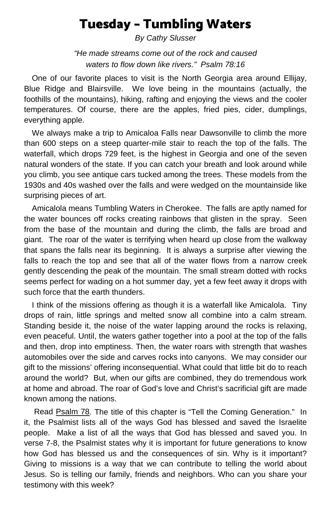# Tuesday – Tumbling Waters

*By Cathy Slusser*

*"He made streams come out of the rock and caused waters to flow down like rivers." Psalm 78:16*

One of our favorite places to visit is the North Georgia area around Ellijay, Blue Ridge and Blairsville. We love being in the mountains (actually, the foothills of the mountains), hiking, rafting and enjoying the views and the cooler temperatures. Of course, there are the apples, fried pies, cider, dumplings, everything apple.

We always make a trip to Amicaloa Falls near Dawsonville to climb the more than 600 steps on a steep quarter-mile stair to reach the top of the falls. The waterfall, which drops 729 feet, is the highest in Georgia and one of the seven natural wonders of the state. If you can catch your breath and look around while you climb, you see antique cars tucked among the trees. These models from the 1930s and 40s washed over the falls and were wedged on the mountainside like surprising pieces of art.

Amicalola means Tumbling Waters in Cherokee. The falls are aptly named for the water bounces off rocks creating rainbows that glisten in the spray. Seen from the base of the mountain and during the climb, the falls are broad and giant. The roar of the water is terrifying when heard up close from the walkway that spans the falls near its beginning. It is always a surprise after viewing the falls to reach the top and see that all of the water flows from a narrow creek gently descending the peak of the mountain. The small stream dotted with rocks seems perfect for wading on a hot summer day, yet a few feet away it drops with such force that the earth thunders.

I think of the missions offering as though it is a waterfall like Amicalola. Tiny drops of rain, little springs and melted snow all combine into a calm stream. Standing beside it, the noise of the water lapping around the rocks is relaxing, even peaceful. Until, the waters gather together into a pool at the top of the falls and then, drop into emptiness. Then, the water roars with strength that washes automobiles over the side and carves rocks into canyons. We may consider our gift to the missions' offering inconsequential. What could that little bit do to reach around the world? But, when our gifts are combined, they do tremendous work at home and abroad. The roar of God's love and Christ's sacrificial gift are made known among the nations.

Read [Psalm 78.](https://www.biblegateway.com/passage/?search=Psalm+78&version=ESV) The title of this chapter is "Tell the Coming Generation." In it, the Psalmist lists all of the ways God has blessed and saved the Israelite people. Make a list of all the ways that God has blessed and saved you. In verse 7-8, the Psalmist states why it is important for future generations to know how God has blessed us and the consequences of sin. Why is it important? Giving to missions is a way that we can contribute to telling the world about Jesus. So is telling our family, friends and neighbors. Who can you share your testimony with this week?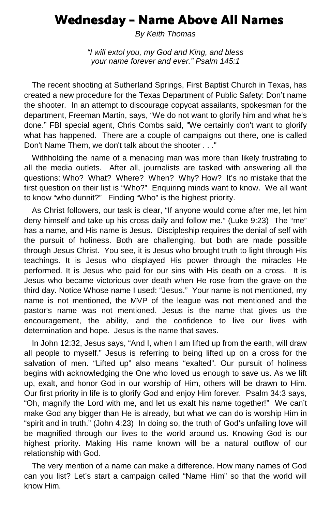# Wednesday – Name Above All Names

*By Keith Thomas*

*"I will extol you, my God and King, and bless your name forever and ever." Psalm 145:1*

The recent shooting at Sutherland Springs, First Baptist Church in Texas, has created a new procedure for the Texas Department of Public Safety: Don't name the shooter. In an attempt to discourage copycat assailants, spokesman for the department, Freeman Martin, says, "We do not want to glorify him and what he's done." FBI special agent, Chris Combs said, "We certainly don't want to glorify what has happened. There are a couple of campaigns out there, one is called Don't Name Them, we don't talk about the shooter . . ."

Withholding the name of a menacing man was more than likely frustrating to all the media outlets. After all, journalists are tasked with answering all the questions: Who? What? Where? When? Why? How? It's no mistake that the first question on their list is "Who?" Enquiring minds want to know. We all want to know "who dunnit?" Finding "Who" is the highest priority.

As Christ followers, our task is clear, "If anyone would come after me, let him deny himself and take up his cross daily and follow me." (Luke 9:23) The "me" has a name, and His name is Jesus. Discipleship requires the denial of self with the pursuit of holiness. Both are challenging, but both are made possible through Jesus Christ. You see, it is Jesus who brought truth to light through His teachings. It is Jesus who displayed His power through the miracles He performed. It is Jesus who paid for our sins with His death on a cross. It is Jesus who became victorious over death when He rose from the grave on the third day. Notice Whose name I used: "Jesus." Your name is not mentioned, my name is not mentioned, the MVP of the league was not mentioned and the pastor's name was not mentioned. Jesus is the name that gives us the encouragement, the ability, and the confidence to live our lives with determination and hope. Jesus is the name that saves.

In John 12:32, Jesus says, "And I, when I am lifted up from the earth, will draw all people to myself." Jesus is referring to being lifted up on a cross for the salvation of men. "Lifted up" also means "exalted". Our pursuit of holiness begins with acknowledging the One who loved us enough to save us. As we lift up, exalt, and honor God in our worship of Him, others will be drawn to Him. Our first priority in life is to glorify God and enjoy Him forever. Psalm 34:3 says, "Oh, magnify the Lord with me, and let us exalt his name together!" We can't make God any bigger than He is already, but what we can do is worship Him in "spirit and in truth." (John 4:23) In doing so, the truth of God's unfailing love will be magnified through our lives to the world around us. Knowing God is our highest priority. Making His name known will be a natural outflow of our relationship with God.

The very mention of a name can make a difference. How many names of God can you list? Let's start a campaign called "Name Him" so that the world will know Him.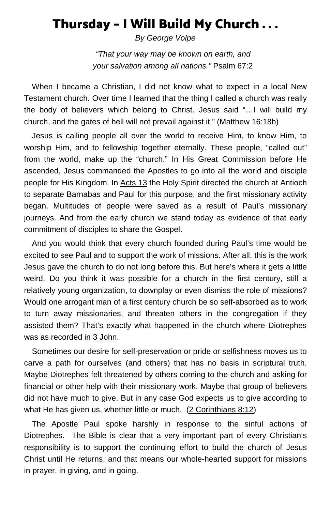# Thursday – I Will Build My Church . . .

*By George Volpe*

*"That your way may be known on earth, and your salvation among all nations."* Psalm 67:2

When I became a Christian, I did not know what to expect in a local New Testament church. Over time I learned that the thing I called a church was really the body of believers which belong to Christ. Jesus said "…I will build my church, and the gates of hell will not prevail against it." (Matthew 16:18b)

Jesus is calling people all over the world to receive Him, to know Him, to worship Him, and to fellowship together eternally. These people, "called out" from the world, make up the "church." In His Great Commission before He ascended, Jesus commanded the Apostles to go into all the world and disciple people for His Kingdom. In [Acts 13](https://www.biblegateway.com/passage/?search=Acts+13&version=ESV) the Holy Spirit directed the church at Antioch to separate Barnabas and Paul for this purpose, and the first missionary activity began. Multitudes of people were saved as a result of Paul's missionary journeys. And from the early church we stand today as evidence of that early commitment of disciples to share the Gospel.

And you would think that every church founded during Paul's time would be excited to see Paul and to support the work of missions. After all, this is the work Jesus gave the church to do not long before this. But here's where it gets a little weird. Do you think it was possible for a church in the first century, still a relatively young organization, to downplay or even dismiss the role of missions? Would one arrogant man of a first century church be so self-absorbed as to work to turn away missionaries, and threaten others in the congregation if they assisted them? That's exactly what happened in the church where Diotrephes was as recorded in [3 John.](https://www.biblegateway.com/passage/?search=3+John+1&version=ESV)

Sometimes our desire for self-preservation or pride or selfishness moves us to carve a path for ourselves (and others) that has no basis in scriptural truth. Maybe Diotrephes felt threatened by others coming to the church and asking for financial or other help with their missionary work. Maybe that group of believers did not have much to give. But in any case God expects us to give according to what He has given us, whether little or much. [\(2 Corinthians](https://www.biblegateway.com/passage/?search=2+Corinthians+8%3A12&version=ESV) 8:12)

The Apostle Paul spoke harshly in response to the sinful actions of Diotrephes. The Bible is clear that a very important part of every Christian's responsibility is to support the continuing effort to build the church of Jesus Christ until He returns, and that means our whole-hearted support for missions in prayer, in giving, and in going.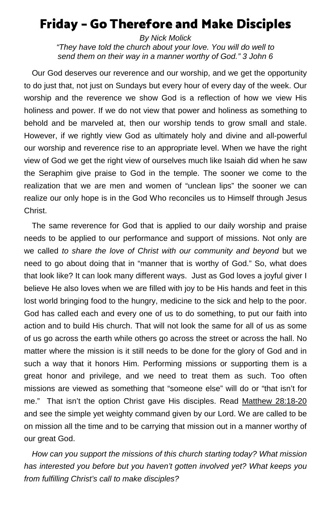# Friday – Go Therefore and Make Disciples

*By Nick Molick "They have told the church about your love. You will do well to send them on their way in a manner worthy of God." 3 John 6*

Our God deserves our reverence and our worship, and we get the opportunity to do just that, not just on Sundays but every hour of every day of the week. Our worship and the reverence we show God is a reflection of how we view His holiness and power. If we do not view that power and holiness as something to behold and be marveled at, then our worship tends to grow small and stale. However, if we rightly view God as ultimately holy and divine and all-powerful our worship and reverence rise to an appropriate level. When we have the right view of God we get the right view of ourselves much like Isaiah did when he saw the Seraphim give praise to God in the temple. The sooner we come to the realization that we are men and women of "unclean lips" the sooner we can realize our only hope is in the God Who reconciles us to Himself through Jesus Christ.

The same reverence for God that is applied to our daily worship and praise needs to be applied to our performance and support of missions. Not only are we called *to share the love of Christ with our community and beyond* but we need to go about doing that in "manner that is worthy of God." So, what does that look like? It can look many different ways. Just as God loves a joyful giver I believe He also loves when we are filled with joy to be His hands and feet in this lost world bringing food to the hungry, medicine to the sick and help to the poor. God has called each and every one of us to do something, to put our faith into action and to build His church. That will not look the same for all of us as some of us go across the earth while others go across the street or across the hall. No matter where the mission is it still needs to be done for the glory of God and in such a way that it honors Him. Performing missions or supporting them is a great honor and privilege, and we need to treat them as such. Too often missions are viewed as something that "someone else" will do or "that isn't for me." That isn't the option Christ gave His disciples. Read [Matthew](https://www.biblegateway.com/passage/?search=Mathew+28%3A18-20+&version=ESV) 28:18-20 and see the simple yet weighty command given by our Lord. We are called to be on mission all the time and to be carrying that mission out in a manner worthy of our great God.

*How can you support the missions of this church starting today? What mission has interested you before but you haven't gotten involved yet? What keeps you from fulfilling Christ's call to make disciples?*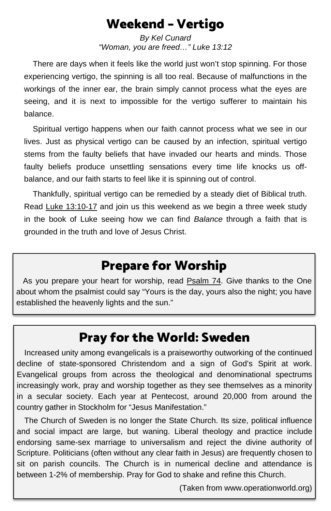# Weekend – Vertigo

*By Kel Cunard "Woman, you are freed…" Luke 13:12*

 There are days when it feels like the world just won't stop spinning. For those experiencing vertigo, the spinning is all too real. Because of malfunctions in the workings of the inner ear, the brain simply cannot process what the eyes are seeing, and it is next to impossible for the vertigo sufferer to maintain his balance.

 Spiritual vertigo happens when our faith cannot process what we see in our lives. Just as physical vertigo can be caused by an infection, spiritual vertigo stems from the faulty beliefs that have invaded our hearts and minds. Those faulty beliefs produce unsettling sensations every time life knocks us offbalance, and our faith starts to feel like it is spinning out of control.

 Thankfully, spiritual vertigo can be remedied by a steady diet of Biblical truth. Read [Luke 13:10-17](https://www.biblegateway.com/passage/?search=Luke+13%3A10-17&version=ESV) and join us this weekend as we begin a three week study in the book of Luke seeing how we can find *Balance* through a faith that is grounded in the truth and love of Jesus Christ.

# Prepare for Worship

As you prepare your heart for worship, read [Psalm 74.](https://www.biblegateway.com/passage/?search=Psalm+74&version=ESV) Give thanks to the One about whom the psalmist could say "Yours is the day, yours also the night; you have established the heavenly lights and the sun."

# Pray for the World: Sweden

Increased unity among evangelicals is a praiseworthy outworking of the continued decline of state-sponsored Christendom and a sign of God's Spirit at work. Evangelical groups from across the theological and denominational spectrums increasingly work, pray and worship together as they see themselves as a minority in a secular society. Each year at Pentecost, around 20,000 from around the country gather in Stockholm for "Jesus Manifestation."

The Church of Sweden is no longer the State Church. Its size, political influence and social impact are large, but waning. Liberal theology and practice include endorsing same-sex marriage to universalism and reject the divine authority of Scripture. Politicians (often without any clear faith in Jesus) are frequently chosen to sit on parish councils. The Church is in numerical decline and attendance is between 1-2% of membership. Pray for God to shake and refine this Church.

(Taken from www.operationworld.org)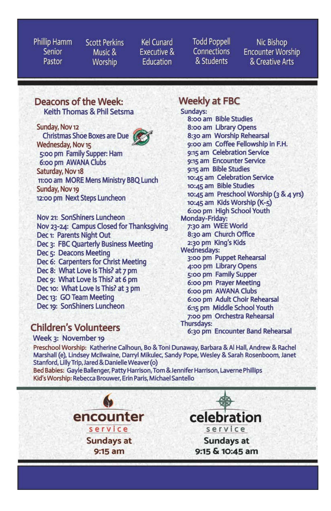Phillip Hamm **Senior** Pastor

**Scott Perkins** Music & Worship

**Kel Cunard** Executive & **Education** 

**Todd Poppell Connections** & Students

Nic Bishop **Encounter Worship** & Creative Arts

#### Deacons of the Week: Keith Thomas & Phil Setsma

Sunday, Nov 12 **Christmas Shoe Boxes are Due** Wednesday, Nov 15 5:00 pm Family Supper: Ham 6:00 pm AWANA Clubs Saturday, Nov 18 11:00 am MORE Mens Ministry BBQ Lunch Sunday, Nov 19 12:00 pm Next Steps Luncheon

Nov 21: SonShiners Luncheon Nov 23-24: Campus Closed for Thanksgiving Dec 1: Parents Night Out Dec 3: FBC Quarterly Business Meeting Dec 5: Deacons Meeting Dec 6: Carpenters for Christ Meeting Dec 8: What Love Is This? at 7 pm Dec 9: What Love Is This? at 6 pm Dec 10: What Love Is This? at 3 pm Dec 13: GO Team Meeting Dec 19: SonShiners Luncheon

## **Children's Volunteers**

Week 3: November 19

**Weekly at FBC** 

Sundays: 8:00 am Bible Studies 8:00 am Library Opens 8:30 am Worship Rehearsal 9:00 am Coffee Fellowship in F.H. 9:15 am Celebration Service 9:15 am Encounter Service 9:15 am Bible Studies 10:45 am Celebration Service 10:45 am Bible Studies 10:45 am Preschool Worship (3 & 4 yrs) 10:45 am Kids Worship (K-5) 6:00 pm High School Youth Monday-Friday: 7:30 am WEE World 8:30 am Church Office 2:30 pm King's Kids **Wednesdays:** 3:00 pm Puppet Rehearsal 4:00 pm Library Opens 5:00 pm Family Supper 6:00 pm Prayer Meeting 6:00 pm AWANA Clubs 6:00 pm Adult Choir Rehearsal 6:15 pm Middle School Youth 7:00 pm Orchestra Rehearsal Thursdays: 6:30 pm Encounter Band Rehearsal

Preschool Worship: Katherine Calhoun, Bo & Toni Dunaway, Barbara & Al Hall, Andrew & Rachel Marshall (e), Lindsey McIlwaine, Darryl Mikulec, Sandy Pope, Wesley & Sarah Rosenboom, Janet Stanford, Lilly Trip, Jared & Danielle Weaver (o)

Bed Babies: Gayle Ballenger, Patty Harrison, Tom & Jennifer Harrison, Laverne Phillips Kid's Worship: Rebecca Brouwer, Erin Paris, Michael Santello